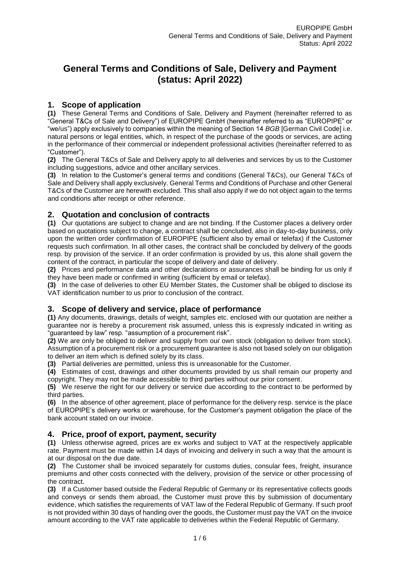# **General Terms and Conditions of Sale, Delivery and Payment (status: April 2022)**

# **1. Scope of application**

**(1)** These General Terms and Conditions of Sale, Delivery and Payment (hereinafter referred to as "General T&Cs of Sale and Delivery") of EUROPIPE GmbH (hereinafter referred to as "EUROPIPE" or "we/us") apply exclusively to companies within the meaning of Section 14 *BGB* [German Civil Code] i.e. natural persons or legal entities, which, in respect of the purchase of the goods or services, are acting in the performance of their commercial or independent professional activities (hereinafter referred to as "Customer").

**(2)** The General T&Cs of Sale and Delivery apply to all deliveries and services by us to the Customer including suggestions, advice and other ancillary services.

**(3)** In relation to the Customer's general terms and conditions (General T&Cs), our General T&Cs of Sale and Delivery shall apply exclusively. General Terms and Conditions of Purchase and other General T&Cs of the Customer are herewith excluded. This shall also apply if we do not object again to the terms and conditions after receipt or other reference.

# **2. Quotation and conclusion of contracts**

**(1)** Our quotations are subject to change and are not binding. If the Customer places a delivery order based on quotations subject to change, a contract shall be concluded, also in day-to-day business, only upon the written order confirmation of EUROPIPE (sufficient also by email or telefax) if the Customer requests such confirmation. In all other cases, the contract shall be concluded by delivery of the goods resp. by provision of the service. If an order confirmation is provided by us, this alone shall govern the content of the contract, in particular the scope of delivery and date of delivery.

**(2)** Prices and performance data and other declarations or assurances shall be binding for us only if they have been made or confirmed in writing (sufficient by email or telefax).

**(3)** In the case of deliveries to other EU Member States, the Customer shall be obliged to disclose its VAT identification number to us prior to conclusion of the contract.

#### **3. Scope of delivery and service, place of performance**

**(1)** Any documents, drawings, details of weight, samples etc. enclosed with our quotation are neither a guarantee nor is hereby a procurement risk assumed, unless this is expressly indicated in writing as "guaranteed by law" resp. "assumption of a procurement risk".

**(2)** We are only be obliged to deliver and supply from our own stock (obligation to deliver from stock). Assumption of a procurement risk or a procurement guarantee is also not based solely on our obligation to deliver an item which is defined solely by its class.

**(3)** Partial deliveries are permitted, unless this is unreasonable for the Customer.

**(4)** Estimates of cost, drawings and other documents provided by us shall remain our property and copyright. They may not be made accessible to third parties without our prior consent.

**(5)** We reserve the right for our delivery or service due according to the contract to be performed by third parties.

**(6)** In the absence of other agreement, place of performance for the delivery resp. service is the place of EUROPIPE's delivery works or warehouse, for the Customer's payment obligation the place of the bank account stated on our invoice.

#### **4. Price, proof of export, payment, security**

**(1)** Unless otherwise agreed, prices are ex works and subject to VAT at the respectively applicable rate. Payment must be made within 14 days of invoicing and delivery in such a way that the amount is at our disposal on the due date.

**(2)** The Customer shall be invoiced separately for customs duties, consular fees, freight, insurance premiums and other costs connected with the delivery, provision of the service or other processing of the contract.

**(3)** If a Customer based outside the Federal Republic of Germany or its representative collects goods and conveys or sends them abroad, the Customer must prove this by submission of documentary evidence, which satisfies the requirements of VAT law of the Federal Republic of Germany. If such proof is not provided within 30 days of handing over the goods, the Customer must pay the VAT on the invoice amount according to the VAT rate applicable to deliveries within the Federal Republic of Germany.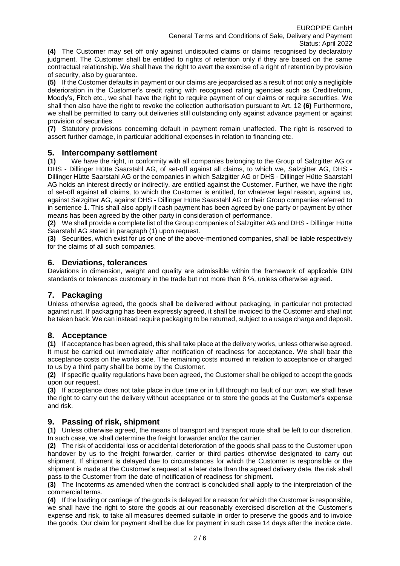**(4)** The Customer may set off only against undisputed claims or claims recognised by declaratory judgment. The Customer shall be entitled to rights of retention only if they are based on the same contractual relationship. We shall have the right to avert the exercise of a right of retention by provision of security, also by guarantee.

**(5)** If the Customer defaults in payment or our claims are jeopardised as a result of not only a negligible deterioration in the Customer's credit rating with recognised rating agencies such as Creditreform, Moody's, Fitch etc., we shall have the right to require payment of our claims or require securities. We shall then also have the right to revoke the collection authorisation pursuant to Art. 12 **(6)** Furthermore, we shall be permitted to carry out deliveries still outstanding only against advance payment or against provision of securities.

**(7)** Statutory provisions concerning default in payment remain unaffected. The right is reserved to assert further damage, in particular additional expenses in relation to financing etc.

# **5. Intercompany settlement**

**(1)** We have the right, in conformity with all companies belonging to the Group of Salzgitter AG or DHS - Dillinger Hütte Saarstahl AG, of set-off against all claims, to which we, Salzgitter AG, DHS -Dillinger Hütte Saarstahl AG or the companies in which Salzgitter AG or DHS - Dillinger Hütte Saarstahl AG holds an interest directly or indirectly, are entitled against the Customer. Further, we have the right of set-off against all claims, to which the Customer is entitled, for whatever legal reason, against us, against Salzgitter AG, against DHS - Dillinger Hütte Saarstahl AG or their Group companies referred to in sentence 1. This shall also apply if cash payment has been agreed by one party or payment by other means has been agreed by the other party in consideration of performance.

**(2)** We shall provide a complete list of the Group companies of Salzgitter AG and DHS - Dillinger Hütte Saarstahl AG stated in paragraph (1) upon request.

**(3)** Securities, which exist for us or one of the above-mentioned companies, shall be liable respectively for the claims of all such companies.

#### **6. Deviations, tolerances**

Deviations in dimension, weight and quality are admissible within the framework of applicable DIN standards or tolerances customary in the trade but not more than 8 %, unless otherwise agreed.

# **7. Packaging**

Unless otherwise agreed, the goods shall be delivered without packaging, in particular not protected against rust. If packaging has been expressly agreed, it shall be invoiced to the Customer and shall not be taken back. We can instead require packaging to be returned, subject to a usage charge and deposit.

#### **8. Acceptance**

**(1)** If acceptance has been agreed, this shall take place at the delivery works, unless otherwise agreed. It must be carried out immediately after notification of readiness for acceptance. We shall bear the acceptance costs on the works side. The remaining costs incurred in relation to acceptance or charged to us by a third party shall be borne by the Customer.

**(2)** If specific quality regulations have been agreed, the Customer shall be obliged to accept the goods upon our request.

**(3)** If acceptance does not take place in due time or in full through no fault of our own, we shall have the right to carry out the delivery without acceptance or to store the goods at the Customer's expense and risk.

#### **9. Passing of risk, shipment**

**(1)** Unless otherwise agreed, the means of transport and transport route shall be left to our discretion. In such case, we shall determine the freight forwarder and/or the carrier.

**(2)** The risk of accidental loss or accidental deterioration of the goods shall pass to the Customer upon handover by us to the freight forwarder, carrier or third parties otherwise designated to carry out shipment. If shipment is delayed due to circumstances for which the Customer is responsible or the shipment is made at the Customer's request at a later date than the agreed delivery date, the risk shall pass to the Customer from the date of notification of readiness for shipment.

**(3)** The Incoterms as amended when the contract is concluded shall apply to the interpretation of the commercial terms.

**(4)** If the loading or carriage of the goods is delayed for a reason for which the Customer is responsible, we shall have the right to store the goods at our reasonably exercised discretion at the Customer's expense and risk, to take all measures deemed suitable in order to preserve the goods and to invoice the goods. Our claim for payment shall be due for payment in such case 14 days after the invoice date.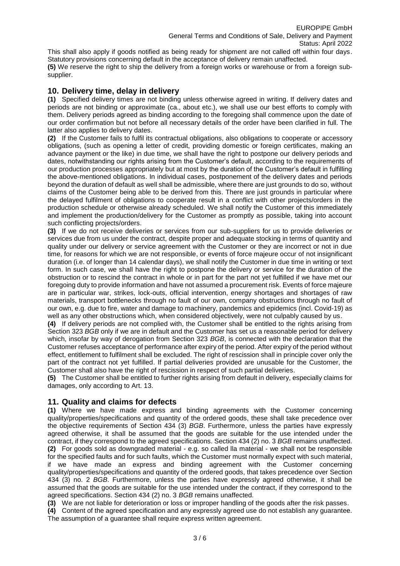This shall also apply if goods notified as being ready for shipment are not called off within four days. Statutory provisions concerning default in the acceptance of delivery remain unaffected.

**(5)** We reserve the right to ship the delivery from a foreign works or warehouse or from a foreign subsupplier.

### **10. Delivery time, delay in delivery**

**(1)** Specified delivery times are not binding unless otherwise agreed in writing. If delivery dates and periods are not binding or approximate (ca., about etc.), we shall use our best efforts to comply with them. Delivery periods agreed as binding according to the foregoing shall commence upon the date of our order confirmation but not before all necessary details of the order have been clarified in full. The latter also applies to delivery dates.

**(2)** If the Customer fails to fulfil its contractual obligations, also obligations to cooperate or accessory obligations, (such as opening a letter of credit, providing domestic or foreign certificates, making an advance payment or the like) in due time, we shall have the right to postpone our delivery periods and dates, notwithstanding our rights arising from the Customer's default, according to the requirements of our production processes appropriately but at most by the duration of the Customer's default in fulfilling the above-mentioned obligations. In individual cases, postponement of the delivery dates and periods beyond the duration of default as well shall be admissible, where there are just grounds to do so, without claims of the Customer being able to be derived from this. There are just grounds in particular where the delayed fulfilment of obligations to cooperate result in a conflict with other projects/orders in the production schedule or otherwise already scheduled. We shall notify the Customer of this immediately and implement the production/delivery for the Customer as promptly as possible, taking into account such conflicting projects/orders.

**(3)** If we do not receive deliveries or services from our sub-suppliers for us to provide deliveries or services due from us under the contract, despite proper and adequate stocking in terms of quantity and quality under our delivery or service agreement with the Customer or they are incorrect or not in due time, for reasons for which we are not responsible, or events of force majeure occur of not insignificant duration (i.e. of longer than 14 calendar days), we shall notify the Customer in due time in writing or text form. In such case, we shall have the right to postpone the delivery or service for the duration of the obstruction or to rescind the contract in whole or in part for the part not yet fulfilled if we have met our foregoing duty to provide information and have not assumed a procurement risk. Events of force majeure are in particular war, strikes, lock-outs, official intervention, energy shortages and shortages of raw materials, transport bottlenecks through no fault of our own, company obstructions through no fault of our own, e.g. due to fire, water and damage to machinery, pandemics and epidemics (incl. Covid-19) as well as any other obstructions which, when considered objectively, were not culpably caused by us.

**(4)** If delivery periods are not complied with, the Customer shall be entitled to the rights arising from Section 323 *BGB* only if we are in default and the Customer has set us a reasonable period for delivery which, insofar by way of derogation from Section 323 *BGB*, is connected with the declaration that the Customer refuses acceptance of performance after expiry of the period. After expiry of the period without effect, entitlement to fulfilment shall be excluded. The right of rescission shall in principle cover only the part of the contract not yet fulfilled. If partial deliveries provided are unusable for the Customer, the Customer shall also have the right of rescission in respect of such partial deliveries.

**(5)** The Customer shall be entitled to further rights arising from default in delivery, especially claims for damages, only according to Art. 13.

#### **11. Quality and claims for defects**

**(1)** Where we have made express and binding agreements with the Customer concerning quality/properties/specifications and quantity of the ordered goods, these shall take precedence over the objective requirements of Section 434 (3) *BGB*. Furthermore, unless the parties have expressly agreed otherwise, it shall be assumed that the goods are suitable for the use intended under the contract, if they correspond to the agreed specifications. Section 434 (2) no. 3 *BGB* remains unaffected. **(2)** For goods sold as downgraded material - e.g. so called lla material - we shall not be responsible for the specified faults and for such faults, which the Customer must normally expect with such material, if we have made an express and binding agreement with the Customer concerning quality/properties/specifications and quantity of the ordered goods, that takes precedence over Section 434 (3) no. 2 *BGB*. Furthermore, unless the parties have expressly agreed otherwise, it shall be assumed that the goods are suitable for the use intended under the contract, if they correspond to the agreed specifications. Section 434 (2) no. 3 *BGB* remains unaffected.

**(3)** We are not liable for deterioration or loss or improper handling of the goods after the risk passes.

**(4)** Content of the agreed specification and any expressly agreed use do not establish any guarantee. The assumption of a guarantee shall require express written agreement.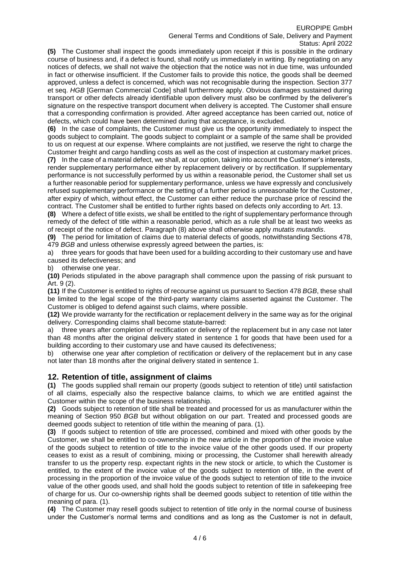#### EUROPIPE GmbH General Terms and Conditions of Sale, Delivery and Payment Status: April 2022

**(5)** The Customer shall inspect the goods immediately upon receipt if this is possible in the ordinary course of business and, if a defect is found, shall notify us immediately in writing. By negotiating on any notices of defects, we shall not waive the objection that the notice was not in due time, was unfounded in fact or otherwise insufficient. If the Customer fails to provide this notice, the goods shall be deemed approved, unless a defect is concerned, which was not recognisable during the inspection. Section 377 et seq. *HGB* [German Commercial Code] shall furthermore apply. Obvious damages sustained during transport or other defects already identifiable upon delivery must also be confirmed by the deliverer's signature on the respective transport document when delivery is accepted. The Customer shall ensure that a corresponding confirmation is provided. After agreed acceptance has been carried out, notice of defects, which could have been determined during that acceptance, is excluded.

**(6)** In the case of complaints, the Customer must give us the opportunity immediately to inspect the goods subject to complaint. The goods subject to complaint or a sample of the same shall be provided to us on request at our expense. Where complaints are not justified, we reserve the right to charge the Customer freight and cargo handling costs as well as the cost of inspection at customary market prices.

**(7)** In the case of a material defect, we shall, at our option, taking into account the Customer's interests, render supplementary performance either by replacement delivery or by rectification. If supplementary performance is not successfully performed by us within a reasonable period, the Customer shall set us a further reasonable period for supplementary performance, unless we have expressly and conclusively refused supplementary performance or the setting of a further period is unreasonable for the Customer, after expiry of which, without effect, the Customer can either reduce the purchase price of rescind the contract. The Customer shall be entitled to further rights based on defects only according to Art. 13.

**(8)** Where a defect of title exists, we shall be entitled to the right of supplementary performance through remedy of the defect of title within a reasonable period, which as a rule shall be at least two weeks as of receipt of the notice of defect. Paragraph (8) above shall otherwise apply *mutatis mutandis*.

**(9)** The period for limitation of claims due to material defects of goods, notwithstanding Sections 478, 479 *BGB* and unless otherwise expressly agreed between the parties, is:

a) three years for goods that have been used for a building according to their customary use and have caused its defectiveness; and

b) otherwise one year.

**(10)** Periods stipulated in the above paragraph shall commence upon the passing of risk pursuant to Art. 9 (2).

**(11)** If the Customer is entitled to rights of recourse against us pursuant to Section 478 *BGB*, these shall be limited to the legal scope of the third-party warranty claims asserted against the Customer. The Customer is obliged to defend against such claims, where possible.

**(12)** We provide warranty for the rectification or replacement delivery in the same way as for the original delivery. Corresponding claims shall become statute-barred:

a) three years after completion of rectification or delivery of the replacement but in any case not later than 48 months after the original delivery stated in sentence 1 for goods that have been used for a building according to their customary use and have caused its defectiveness;

b) otherwise one year after completion of rectification or delivery of the replacement but in any case not later than 18 months after the original delivery stated in sentence 1.

#### **12. Retention of title, assignment of claims**

**(1)** The goods supplied shall remain our property (goods subject to retention of title) until satisfaction of all claims, especially also the respective balance claims, to which we are entitled against the Customer within the scope of the business relationship.

**(2)** Goods subject to retention of title shall be treated and processed for us as manufacturer within the meaning of Section 950 *BGB* but without obligation on our part. Treated and processed goods are deemed goods subject to retention of title within the meaning of para. (1).

**(3)** If goods subject to retention of title are processed, combined and mixed with other goods by the Customer, we shall be entitled to co-ownership in the new article in the proportion of the invoice value of the goods subject to retention of title to the invoice value of the other goods used. If our property ceases to exist as a result of combining, mixing or processing, the Customer shall herewith already transfer to us the property resp. expectant rights in the new stock or article, to which the Customer is entitled, to the extent of the invoice value of the goods subject to retention of title, in the event of processing in the proportion of the invoice value of the goods subject to retention of title to the invoice value of the other goods used, and shall hold the goods subject to retention of title in safekeeping free of charge for us. Our co-ownership rights shall be deemed goods subject to retention of title within the meaning of para. (1).

**(4)** The Customer may resell goods subject to retention of title only in the normal course of business under the Customer's normal terms and conditions and as long as the Customer is not in default,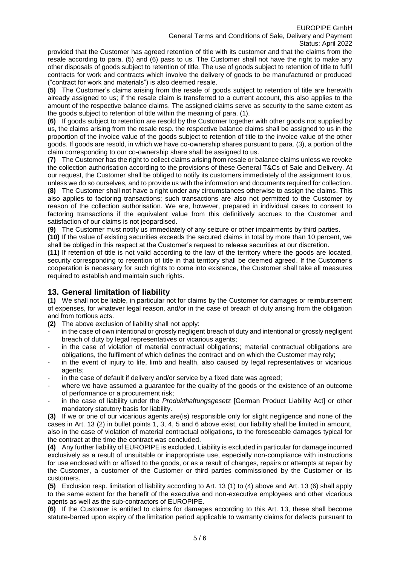provided that the Customer has agreed retention of title with its customer and that the claims from the resale according to para. (5) and (6) pass to us. The Customer shall not have the right to make any other disposals of goods subject to retention of title. The use of goods subject to retention of title to fulfil contracts for work and contracts which involve the delivery of goods to be manufactured or produced ("contract for work and materials") is also deemed resale.

**(5)** The Customer's claims arising from the resale of goods subject to retention of title are herewith already assigned to us; if the resale claim is transferred to a current account, this also applies to the amount of the respective balance claims. The assigned claims serve as security to the same extent as the goods subject to retention of title within the meaning of para. (1).

**(6)** If goods subject to retention are resold by the Customer together with other goods not supplied by us, the claims arising from the resale resp. the respective balance claims shall be assigned to us in the proportion of the invoice value of the goods subject to retention of title to the invoice value of the other goods. If goods are resold, in which we have co-ownership shares pursuant to para. (3), a portion of the claim corresponding to our co-ownership share shall be assigned to us.

**(7)** The Customer has the right to collect claims arising from resale or balance claims unless we revoke the collection authorisation according to the provisions of these General T&Cs of Sale and Delivery. At our request, the Customer shall be obliged to notify its customers immediately of the assignment to us, unless we do so ourselves, and to provide us with the information and documents required for collection.

**(8)** The Customer shall not have a right under any circumstances otherwise to assign the claims. This also applies to factoring transactions; such transactions are also not permitted to the Customer by reason of the collection authorisation. We are, however, prepared in individual cases to consent to factoring transactions if the equivalent value from this definitively accrues to the Customer and satisfaction of our claims is not jeopardised.

**(9)** The Customer must notify us immediately of any seizure or other impairments by third parties.

**(10)** If the value of existing securities exceeds the secured claims in total by more than 10 percent, we shall be obliged in this respect at the Customer's request to release securities at our discretion.

**(11)** If retention of title is not valid according to the law of the territory where the goods are located, security corresponding to retention of title in that territory shall be deemed agreed. If the Customer's cooperation is necessary for such rights to come into existence, the Customer shall take all measures required to establish and maintain such rights.

# **13. General limitation of liability**

**(1)** We shall not be liable, in particular not for claims by the Customer for damages or reimbursement of expenses, for whatever legal reason, and/or in the case of breach of duty arising from the obligation and from tortious acts.

- **(2)** The above exclusion of liability shall not apply:
- in the case of own intentional or grossly negligent breach of duty and intentional or grossly negligent breach of duty by legal representatives or vicarious agents;
- in the case of violation of material contractual obligations; material contractual obligations are obligations, the fulfilment of which defines the contract and on which the Customer may rely;
- in the event of injury to life, limb and health, also caused by legal representatives or vicarious agents;
- in the case of default if delivery and/or service by a fixed date was agreed;
- where we have assumed a guarantee for the quality of the goods or the existence of an outcome of performance or a procurement risk;
- in the case of liability under the *Produkthaftungsgesetz* [German Product Liability Act] or other mandatory statutory basis for liability.

**(3)** If we or one of our vicarious agents are(is) responsible only for slight negligence and none of the cases in Art. 13 (2) in bullet points 1, 3, 4, 5 and 6 above exist, our liability shall be limited in amount, also in the case of violation of material contractual obligations, to the foreseeable damages typical for the contract at the time the contract was concluded.

**(4)** Any further liability of EUROPIPE is excluded. Liability is excluded in particular for damage incurred exclusively as a result of unsuitable or inappropriate use, especially non-compliance with instructions for use enclosed with or affixed to the goods, or as a result of changes, repairs or attempts at repair by the Customer, a customer of the Customer or third parties commissioned by the Customer or its customers.

**(5)** Exclusion resp. limitation of liability according to Art. 13 (1) to (4) above and Art. 13 (6) shall apply to the same extent for the benefit of the executive and non-executive employees and other vicarious agents as well as the sub-contractors of EUROPIPE.

**(6)** If the Customer is entitled to claims for damages according to this Art. 13, these shall become statute-barred upon expiry of the limitation period applicable to warranty claims for defects pursuant to